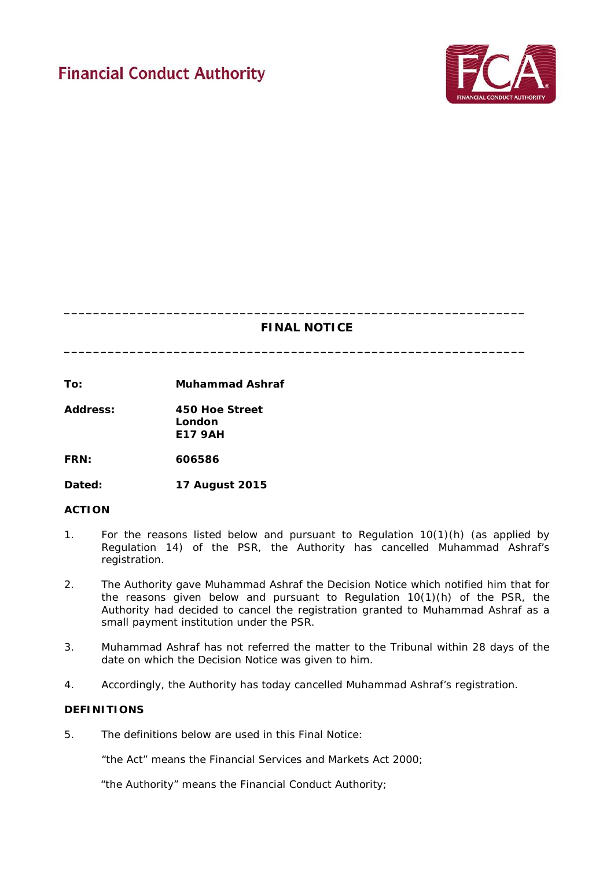# **Financial Conduct Authority**



# **FINAL NOTICE**

**\_\_\_\_\_\_\_\_\_\_\_\_\_\_\_\_\_\_\_\_\_\_\_\_\_\_\_\_\_\_\_\_\_\_\_\_\_\_\_\_\_\_\_\_\_\_\_\_\_\_\_\_\_\_\_\_\_\_\_\_\_\_\_**

**\_\_\_\_\_\_\_\_\_\_\_\_\_\_\_\_\_\_\_\_\_\_\_\_\_\_\_\_\_\_\_\_\_\_\_\_\_\_\_\_\_\_\_\_\_\_\_\_\_\_\_\_\_\_\_\_\_\_\_\_\_\_\_**

**To: Muhammad Ashraf**

**Address: 450 Hoe Street London E17 9AH**

**FRN: 606586**

**Dated: 17 August 2015**

## **ACTION**

- 1. For the reasons listed below and pursuant to Regulation 10(1)(h) (as applied by Regulation 14) of the PSR, the Authority has cancelled Muhammad Ashraf's registration.
- 2. The Authority gave Muhammad Ashraf the Decision Notice which notified him that for the reasons given below and pursuant to Regulation 10(1)(h) of the PSR, the Authority had decided to cancel the registration granted to Muhammad Ashraf as a small payment institution under the PSR.
- 3. Muhammad Ashraf has not referred the matter to the Tribunal within 28 days of the date on which the Decision Notice was given to him.
- 4. Accordingly, the Authority has today cancelled Muhammad Ashraf's registration.

## **DEFINITIONS**

5. The definitions below are used in this Final Notice:

"the Act" means the Financial Services and Markets Act 2000;

"the Authority" means the Financial Conduct Authority;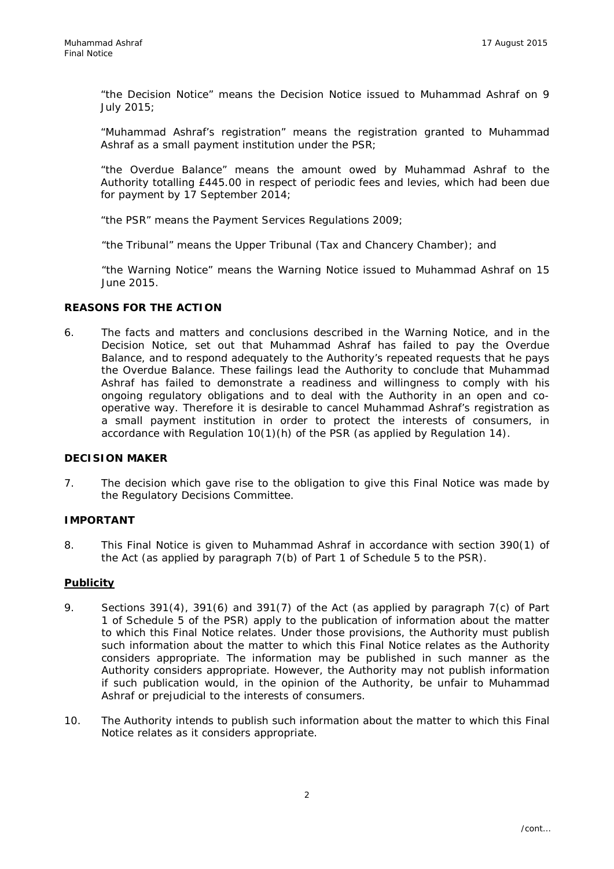"the Decision Notice" means the Decision Notice issued to Muhammad Ashraf on 9 July 2015;

"Muhammad Ashraf's registration" means the registration granted to Muhammad Ashraf as a small payment institution under the PSR;

"the Overdue Balance" means the amount owed by Muhammad Ashraf to the Authority totalling £445.00 in respect of periodic fees and levies, which had been due for payment by 17 September 2014;

"the PSR" means the Payment Services Regulations 2009;

"the Tribunal" means the Upper Tribunal (Tax and Chancery Chamber); and

"the Warning Notice" means the Warning Notice issued to Muhammad Ashraf on 15 June 2015.

#### **REASONS FOR THE ACTION**

6. The facts and matters and conclusions described in the Warning Notice, and in the Decision Notice, set out that Muhammad Ashraf has failed to pay the Overdue Balance, and to respond adequately to the Authority's repeated requests that he pays the Overdue Balance. These failings lead the Authority to conclude that Muhammad Ashraf has failed to demonstrate a readiness and willingness to comply with his ongoing regulatory obligations and to deal with the Authority in an open and cooperative way. Therefore it is desirable to cancel Muhammad Ashraf's registration as a small payment institution in order to protect the interests of consumers, in accordance with Regulation 10(1)(h) of the PSR (as applied by Regulation 14).

#### **DECISION MAKER**

7. The decision which gave rise to the obligation to give this Final Notice was made by the Regulatory Decisions Committee.

#### **IMPORTANT**

8. This Final Notice is given to Muhammad Ashraf in accordance with section 390(1) of the Act (as applied by paragraph 7(b) of Part 1 of Schedule 5 to the PSR).

#### **Publicity**

- 9. Sections 391(4), 391(6) and 391(7) of the Act (as applied by paragraph 7(c) of Part 1 of Schedule 5 of the PSR) apply to the publication of information about the matter to which this Final Notice relates. Under those provisions, the Authority must publish such information about the matter to which this Final Notice relates as the Authority considers appropriate. The information may be published in such manner as the Authority considers appropriate. However, the Authority may not publish information if such publication would, in the opinion of the Authority, be unfair to Muhammad Ashraf or prejudicial to the interests of consumers.
- 10. The Authority intends to publish such information about the matter to which this Final Notice relates as it considers appropriate.